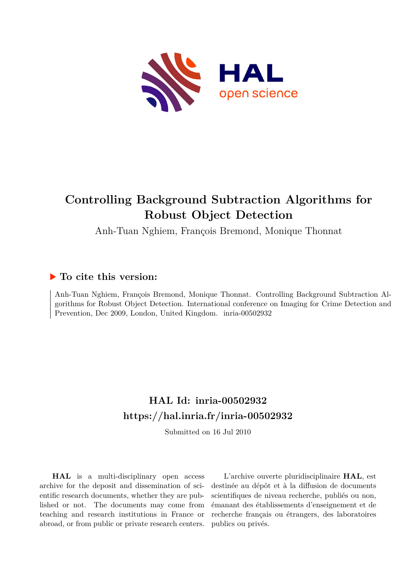

# **Controlling Background Subtraction Algorithms for Robust Object Detection**

Anh-Tuan Nghiem, François Bremond, Monique Thonnat

# **To cite this version:**

Anh-Tuan Nghiem, François Bremond, Monique Thonnat. Controlling Background Subtraction Algorithms for Robust Object Detection. International conference on Imaging for Crime Detection and Prevention, Dec 2009, London, United Kingdom. inria-00502932

# **HAL Id: inria-00502932 <https://hal.inria.fr/inria-00502932>**

Submitted on 16 Jul 2010

**HAL** is a multi-disciplinary open access archive for the deposit and dissemination of scientific research documents, whether they are published or not. The documents may come from teaching and research institutions in France or abroad, or from public or private research centers.

L'archive ouverte pluridisciplinaire **HAL**, est destinée au dépôt et à la diffusion de documents scientifiques de niveau recherche, publiés ou non, émanant des établissements d'enseignement et de recherche français ou étrangers, des laboratoires publics ou privés.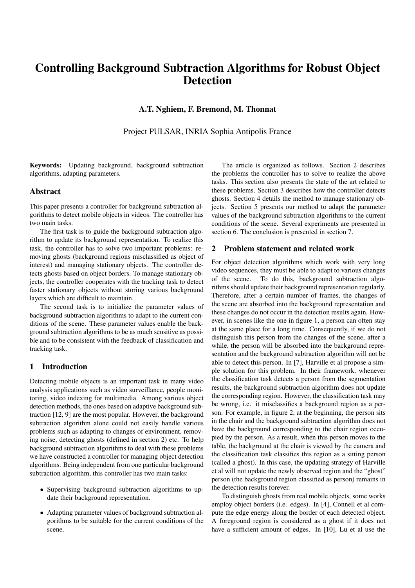# Controlling Background Subtraction Algorithms for Robust Object Detection

#### A.T. Nghiem, F. Bremond, M. Thonnat

Project PULSAR, INRIA Sophia Antipolis France

Keywords: Updating background, background subtraction algorithms, adapting parameters.

#### Abstract

This paper presents a controller for background subtraction algorithms to detect mobile objects in videos. The controller has two main tasks.

The first task is to guide the background subtraction algorithm to update its background representation. To realize this task, the controller has to solve two important problems: removing ghosts (background regions misclassified as object of interest) and managing stationary objects. The controller detects ghosts based on object borders. To manage stationary objects, the controller cooperates with the tracking task to detect faster stationary objects without storing various background layers which are difficult to maintain.

The second task is to initialize the parameter values of background subtraction algorithms to adapt to the current conditions of the scene. These parameter values enable the background subtraction algorithms to be as much sensitive as possible and to be consistent with the feedback of classification and tracking task.

## 1 Introduction

Detecting mobile objects is an important task in many video analysis applications such as video surveillance, people monitoring, video indexing for multimedia. Among various object detection methods, the ones based on adaptive background subtraction [12, 9] are the most popular. However, the background subtraction algorithm alone could not easily handle various problems such as adapting to changes of environment, removing noise, detecting ghosts (defined in section 2) etc. To help background subtraction algorithms to deal with these problems we have constructed a controller for managing object detection algorithms. Being independent from one particular background subtraction algorithm, this controller has two main tasks:

- Supervising background subtraction algorithms to update their background representation.
- Adapting parameter values of background subtraction algorithms to be suitable for the current conditions of the scene.

The article is organized as follows. Section 2 describes the problems the controller has to solve to realize the above tasks. This section also presents the state of the art related to these problems. Section 3 describes how the controller detects ghosts. Section 4 details the method to manage stationary objects. Section 5 presents our method to adapt the parameter values of the background subtraction algorithms to the current conditions of the scene. Several experiments are presented in section 6. The conclusion is presented in section 7.

#### 2 Problem statement and related work

For object detection algorithms which work with very long video sequences, they must be able to adapt to various changes of the scene. To do this, background subtraction algorithms should update their background representation regularly. Therefore, after a certain number of frames, the changes of the scene are absorbed into the background representation and these changes do not occur in the detection results again. However, in scenes like the one in figure 1, a person can often stay at the same place for a long time. Consequently, if we do not distinguish this person from the changes of the scene, after a while, the person will be absorbed into the background representation and the background subtraction algorithm will not be able to detect this person. In [7], Harville et al propose a simple solution for this problem. In their framework, whenever the classification task detects a person from the segmentation results, the background subtraction algorithm does not update the corresponding region. However, the classification task may be wrong, i.e. it misclassifies a background region as a person. For example, in figure 2, at the beginning, the person sits in the chair and the background subtraction algorithm does not have the background corresponding to the chair region occupied by the person. As a result, when this person moves to the table, the background at the chair is viewed by the camera and the classification task classifies this region as a sitting person (called a ghost). In this case, the updating strategy of Harville et al will not update the newly observed region and the "ghost" person (the background region classified as person) remains in the detection results forever.

To distinguish ghosts from real mobile objects, some works employ object borders (i.e. edges). In [4], Connell et al compute the edge energy along the border of each detected object. A foreground region is considered as a ghost if it does not have a sufficient amount of edges. In [10], Lu et al use the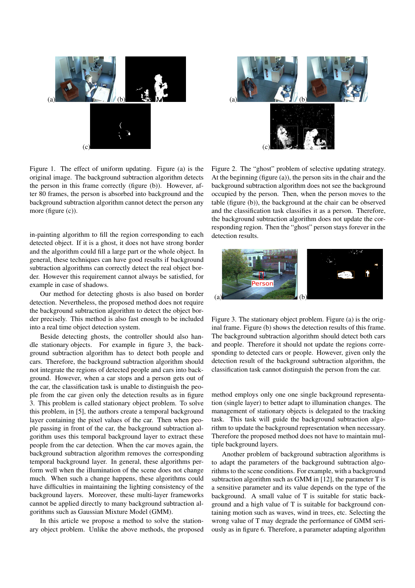



Figure 1. The effect of uniform updating. Figure (a) is the original image. The background subtraction algorithm detects the person in this frame correctly (figure (b)). However, after 80 frames, the person is absorbed into background and the background subtraction algorithm cannot detect the person any more (figure (c)).

in-painting algorithm to fill the region corresponding to each detected object. If it is a ghost, it does not have strong border and the algorithm could fill a large part or the whole object. In general, these techniques can have good results if background subtraction algorithms can correctly detect the real object border. However this requirement cannot always be satisfied, for example in case of shadows.

Our method for detecting ghosts is also based on border detection. Nevertheless, the proposed method does not require the background subtraction algorithm to detect the object border precisely. This method is also fast enough to be included into a real time object detection system.

Beside detecting ghosts, the controller should also handle stationary objects . For example in figure 3, the background subtraction algorithm has to detect both people and cars. Therefore, the background subtraction algorithm should not integrate the regions of detected people and cars into background. However, when a car stops and a person gets out of the car, the classification task is unable to distinguish the people from the car given only the detection results as in figure 3. This problem is called stationary object problem. To solve this problem, in [5], the authors create a temporal background layer containing the pixel values of the car. Then when people passing in front of the car, the background subtraction algorithm uses this temporal background layer to extract these people from the car detection. When the car moves again, the background subtraction algorithm removes the corresponding temporal background layer. In general, these algorithms perform well when the illumination of the scene does not change much. When such a change happens, these algorithms could have difficulties in maintaining the lighting consistency of the background layers. Moreover, these multi-layer frameworks cannot be applied directly to many background subtraction algorithms such as Gaussian Mixture Model (GMM).

In this article we propose a method to solve the stationary object problem. Unlike the above methods, the proposed

Figure 2. The "ghost" problem of selective updating strategy. At the beginning (figure (a)), the person sits in the chair and the background subtraction algorithm does not see the background occupied by the person. Then, when the person moves to the table (figure (b)), the background at the chair can be observed and the classification task classifies it as a person. Therefore, the background subtraction algorithm does not update the corresponding region. Then the "ghost" person stays forever in the detection results.



Figure 3. The stationary object problem. Figure (a) is the original frame. Figure (b) shows the detection results of this frame. The background subtraction algorithm should detect both cars and people. Therefore it should not update the regions corresponding to detected cars or people. However, given only the detection result of the background subtraction algorithm, the classification task cannot distinguish the person from the car.

method employs only one one single background representation (single layer) to better adapt to illumination changes. The management of stationary objects is delegated to the tracking task. This task will guide the background subtraction algorithm to update the background representation when necessary. Therefore the proposed method does not have to maintain multiple background layers.

Another problem of background subtraction algorithms is to adapt the parameters of the background subtraction algorithms to the scene conditions. For example, with a background subtraction algorithm such as GMM in [12], the parameter T is a sensitive parameter and its value depends on the type of the background. A small value of T is suitable for static background and a high value of T is suitable for background containing motion such as waves, wind in trees, etc. Selecting the wrong value of T may degrade the performance of GMM seriously as in figure 6. Therefore, a parameter adapting algorithm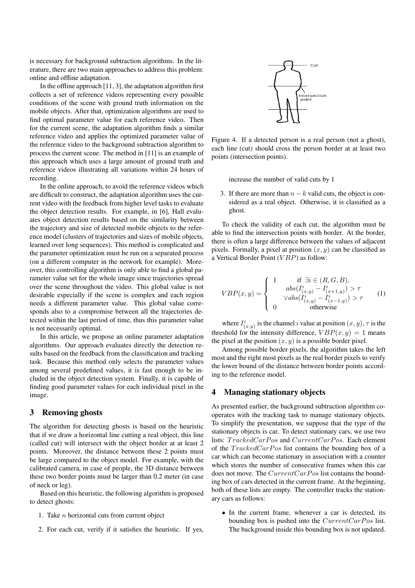is necessary for background subtraction algorithms. In the literature, there are two main approaches to address this problem: online and offline adaptation.

In the offline approach [11, 3], the adaptation algorithm first collects a set of reference videos representing every possible conditions of the scene with ground truth information on the mobile objects. After that, optimization algorithms are used to find optimal parameter value for each reference video. Then for the current scene, the adaptation algorithm finds a similar reference video and applies the optimized parameter value of the reference video to the background subtraction algorithm to process the current scene. The method in [11] is an example of this approach which uses a large amount of ground truth and reference videos illustrating all variations within 24 hours of recording.

In the online approach, to avoid the reference videos which are difficult to construct, the adaptation algorithm uses the current video with the feedback from higher level tasks to evaluate the object detection results. For example, in [6], Hall evaluates object detection results based on the similarity between the trajectory and size of detected mobile objects to the reference model (clusters of trajectories and sizes of mobile objects, learned over long sequences). This method is complicated and the parameter optimization must be run on a separated process (on a different computer in the network for example). Moreover, this controlling algorithm is only able to find a global parameter value set for the whole image since trajectories spread over the scene throughout the video. This global value is not desirable especially if the scene is complex and each region needs a different parameter value. This global value corresponds also to a compromise between all the trajectories detected within the last period of time, thus this parameter value is not necessarily optimal.

In this article, we propose an online parameter adaptation algorithms. Our approach evaluates directly the detection results based on the feedback from the classification and tracking task. Because this method only selects the parameter values among several predefined values, it is fast enough to be included in the object detection system. Finally, it is capable of finding good parameter values for each individual pixel in the image.

## 3 Removing ghosts

The algorithm for detecting ghosts is based on the heuristic that if we draw a horizontal line cutting a real object, this line (called cut) will intersect with the object border at at least 2 points. Moreover, the distance between these 2 points must be large compared to the object model. For example, with the calibrated camera, in case of people, the 3D distance between these two border points must be larger than 0.2 meter (in case of neck or leg).

Based on this heuristic, the following algorithm is proposed to detect ghosts:

- 1. Take *n* horizontal cuts from current object
- 2. For each cut, verify if it satisfies the heuristic. If yes,



Figure 4. If a detected person is a real person (not a ghost), each line (cut) should cross the person border at at least two points (intersection points).

increase the number of valid cuts by 1

3. If there are more than  $n - k$  valid cuts, the object is considered as a real object. Otherwise, it is classified as a ghost.

To check the validity of each cut, the algorithm must be able to find the intersection points with border. At the border, there is often a large difference between the values of adjacent pixels. Formally, a pixel at position  $(x, y)$  can be classified as a Vertical Border Point (*V BP*) as follow:

$$
VBP(x,y) = \begin{cases} 1 & \text{if } \exists i \in (R, G, B), \\ \quad abs(I_{(x,y)}^i - I_{(x+1,y)}^i) > \tau \\ \quad \forall abs(I_{(x,y)}^i - I_{(x-1,y)}^i) > \tau \\ 0 & \text{otherwise} \end{cases}
$$
 (1)

where  $I^i_{(x,y)}$  is the channel *i* value at position  $(x, y)$ ,  $\tau$  is the threshold for the intensity difference,  $VBP(x, y) = 1$  means the pixel at the position  $(x, y)$  is a possible border pixel.

Among possible border pixels, the algorithm takes the left most and the right most pixels as the real border pixels to verify the lower bound of the distance between border points according to the reference model.

#### 4 Managing stationary objects

As presented earlier, the background subtraction algorithm cooperates with the tracking task to manage stationary objects. To simplify the presentation, we suppose that the type of the stationary objects is car. To detect stationary cars, we use two lists: *TrackedCarPos* and *CurrentCarPos*. Each element of the *T rackedCarP os* list contains the bounding box of a car which can become stationary in association with a counter which stores the number of consecutive frames when this car does not move. The *CurrentCarPos* list contains the bounding box of cars detected in the current frame. At the beginning, both of these lists are empty. The controller tracks the stationary cars as follows:

• In the current frame, whenever a car is detected, its bounding box is pushed into the *CurrentCarPos* list. The background inside this bounding box is not updated.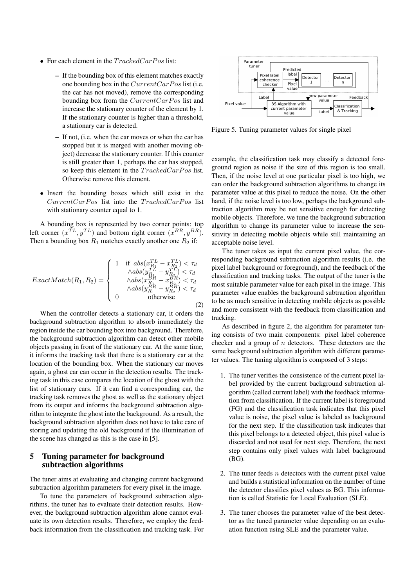- For each element in the *TrackedCarPos* list:
	- If the bounding box of this element matches exactly one bounding box in the *CurrentCarPos* list (i.e. the car has not moved), remove the corresponding bounding box from the *CurrentCarPos* list and increase the stationary counter of the element by 1. If the stationary counter is higher than a threshold, a stationary car is detected.
	- If not, (i.e. when the car moves or when the car has stopped but it is merged with another moving object) decrease the stationary counter. If this counter is still greater than 1, perhaps the car has stopped, so keep this element in the *TrackedCarPos* list. Otherwise remove this element.
- Insert the bounding boxes which still exist in the *CurrentCarP os* list into the *T rackedCarP os* list with stationary counter equal to 1.

A bounding box is represented by two corner points: top left corner  $(x^{TL}, y^{TL})$  and bottom right corner  $(x^{BR}, y^{BR})$ . Then a bounding box  $R_1$  matches exactly another one  $R_2$  if:

$$
ExactMatch(R_1, R_2) = \left\{ \begin{array}{c} 1 & \text{if } abs(x_{R_1}^{TL} - x_{R_2}^{TL}) < \tau_d \\ \wedge abs(y_{R_1}^{TL} - y_{R_2}^{TL}) < \tau_d \\ \wedge abs(x_{R_1}^{BR} - x_{R_2}^{BR}) < \tau_d \\ \wedge abs(y_{R_1}^{BR} - y_{R_2}^{BR}) < \tau_d \\ 0 & \text{otherwise} \end{array} \right. \tag{2}
$$

When the controller detects a stationary car, it orders the background subtraction algorithm to absorb immediately the region inside the car bounding box into background. Therefore, the background subtraction algorithm can detect other mobile objects passing in front of the stationary car. At the same time, it informs the tracking task that there is a stationary car at the location of the bounding box. When the stationary car moves again, a ghost car can occur in the detection results. The tracking task in this case compares the location of the ghost with the list of stationary cars. If it can find a corresponding car, the tracking task removes the ghost as well as the stationary object from its output and informs the background subtraction algorithm to integrate the ghost into the background. As a result, the background subtraction algorithm does not have to take care of storing and updating the old background if the illumination of the scene has changed as this is the case in [5].

### 5 Tuning parameter for background subtraction algorithms

The tuner aims at evaluating and changing current background subtraction algorithm parameters for every pixel in the image.

To tune the parameters of background subtraction algorithms, the tuner has to evaluate their detection results. However, the background subtraction algorithm alone cannot evaluate its own detection results. Therefore, we employ the feedback information from the classification and tracking task. For



Figure 5. Tuning parameter values for single pixel

example, the classification task may classify a detected foreground region as noise if the size of this region is too small. Then, if the noise level at one particular pixel is too high, we can order the background subtraction algorithms to change its parameter value at this pixel to reduce the noise. On the other hand, if the noise level is too low, perhaps the background subtraction algorithm may be not sensitive enough for detecting mobile objects. Therefore, we tune the background subtraction algorithm to change its parameter value to increase the sensitivity in detecting mobile objects while still maintaining an acceptable noise level.

The tuner takes as input the current pixel value, the corresponding background subtraction algorithm results (i.e. the pixel label background or foreground), and the feedback of the classification and tracking tasks. The output of the tuner is the most suitable parameter value for each pixel in the image. This parameter value enables the background subtraction algorithm to be as much sensitive in detecting mobile objects as possible and more consistent with the feedback from classification and tracking.

As described in figure 2, the algorithm for parameter tuning consists of two main components: pixel label coherence checker and a group of *n* detectors. These detectors are the same background subtraction algorithm with different parameter values. The tuning algorithm is composed of 3 steps:

- 1. The tuner verifies the consistence of the current pixel label provided by the current background subtraction algorithm (called current label) with the feedback information from classification. If the current label is foreground (FG) and the classification task indicates that this pixel value is noise, the pixel value is labeled as background for the next step. If the classification task indicates that this pixel belongs to a detected object, this pixel value is discarded and not used for next step. Therefore, the next step contains only pixel values with label background (BG).
- 2. The tuner feeds *n* detectors with the current pixel value and builds a statistical information on the number of time the detector classifies pixel values as BG. This information is called Statistic for Local Evaluation (SLE).
- 3. The tuner chooses the parameter value of the best detector as the tuned parameter value depending on an evaluation function using SLE and the parameter value.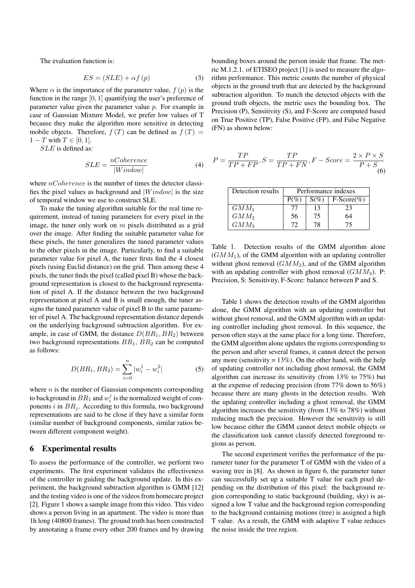The evaluation function is:

$$
ES = (SLE) + \alpha f(p) \tag{3}
$$

Where  $\alpha$  is the importance of the parameter value,  $f(p)$  is the function in the range [0*,* 1] quantifying the user's preference of parameter value given the parameter value *p*. For example in case of Gaussian Mixture Model, we prefer low values of T because they make the algorithm more sensitive in detecting mobile objects. Therefore,  $f(T)$  can be defined as  $f(T) =$  $1 - T$  with  $T \in [0, 1]$ .

*SLE* is defined as:

$$
SLE = \frac{nCoherence}{|Window|} \tag{4}
$$

where *nCoherence* is the number of times the detector classifies the pixel values as background and *|W indow|* is the size of temporal window we use to construct SLE.

To make the tuning algorithm suitable for the real time requirement, instead of tuning parameters for every pixel in the image, the tuner only work on *m* pixels distributed as a grid over the image. After finding the suitable parameter value for these pixels, the tuner generalizes the tuned parameter values to the other pixels in the image. Particularly, to find a suitable parameter value for pixel A, the tuner firsts find the 4 closest pixels (using Euclid distance) on the grid. Then among these 4 pixels, the tuner finds the pixel (called pixel B) whose the background representation is closest to the background representation of pixel A. If the distance between the two background representation at pixel A and B is small enough, the tuner assigns the tuned parameter value of pixel B to the same parameter of pixel A. The background representation distance depends on the underlying background subtraction algorithm. For example, in case of GMM, the distance *D*(*BR*1*, BR*2) between two background representations *BR*1, *BR*<sup>2</sup> can be computed as follows:

$$
D(BR_1, BR_2) = \sum_{i=0}^{n} |w_i^1 - w_i^2|
$$
 (5)

where *n* is the number of Gaussian components corresponding to background in  $BR_1$  and  $w_i^j$  is the normalized weight of components  $i$  in  $BR_i$ . According to this formula, two background representations are said to be close if they have a similar form (similar number of background components, similar ratios between different component weight).

#### 6 Experimental results

To assess the performance of the controller, we perform two experiments. The first experiment validates the effectiveness of the controller in guiding the background update. In this experiment, the background subtraction algorithm is GMM [12] and the testing video is one of the videos from homecare project [2]. Figure 1 shows a sample image from this video. This video shows a person living in an apartment. The video is more than 1h long (40800 frames). The ground truth has been constructed by annotating a frame every other 200 frames and by drawing

bounding boxes around the person inside that frame. The metric M.1.2.1. of ETISEO project [1] is used to measure the algorithm performance. This metric counts the number of physical objects in the ground truth that are detected by the background subtraction algorithm. To match the detected objects with the ground truth objects, the metric uses the bounding box. The Precision (P), Sensitivity (S), and F-Score are computed based on True Positive (TP), False Positive (FP), and False Negative (FN) as shown below:

$$
P = \frac{TP}{TP + FP}, S = \frac{TP}{TP + FN}, F - Score = \frac{2 \times P \times S}{P + S}
$$
\n(6)

| Detection results | Performance indexes |         |               |
|-------------------|---------------------|---------|---------------|
|                   | $P(\%)$             | $S(\%)$ | $F-Score(\%)$ |
| $GMM_1$           | T                   | 13      | 23            |
| $GMM_2$           | 56                  | 75      | 64            |
| $GMM_3$           | 72                  | 78      | 75            |

Table 1. Detection results of the GMM algorithm alone  $(GMM<sub>1</sub>)$ , of the GMM algorithm with an updating controller without ghost removal (*GMM*2), and of the GMM algorithm with an updating controller with ghost removal  $(GMM_3)$ . P: Precision, S: Sensitivity, F-Score: balance between P and S.

Table 1 shows the detection results of the GMM algorithm alone, the GMM algorithm with an updating controller but without ghost removal, and the GMM algorithm with an updating controller including ghost removal. In this sequence, the person often stays at the same place for a long time. Therefore, the GMM algorithm alone updates the regions corresponding to the person and after several frames, it cannot detect the person any more (sensitivity  $= 13\%$ ). On the other hand, with the help of updating controller not including ghost removal, the GMM algorithm can increase its sensitivity (from 13% to 75%) but at the expense of reducing precision (from 77% down to 56%) because there are many ghosts in the detection results. With the updating controller including a ghost removal, the GMM algorithm increases the sensitivity (from 13% to 78%) without reducing much the precision. However the sensitivity is still low because either the GMM cannot detect mobile objects or the classification task cannot classify detected foreground regions as person.

The second experiment verifies the performance of the parameter tuner for the parameter T of GMM with the video of a waving tree in [8]. As shown in figure 6, the parameter tuner can successfully set up a suitable T value for each pixel depending on the distribution of this pixel: the background region corresponding to static background (building, sky) is assigned a low T value and the background region corresponding to the background containing motions (tree) is assigned a high T value. As a result, the GMM with adaptive T value reduces the noise inside the tree region.